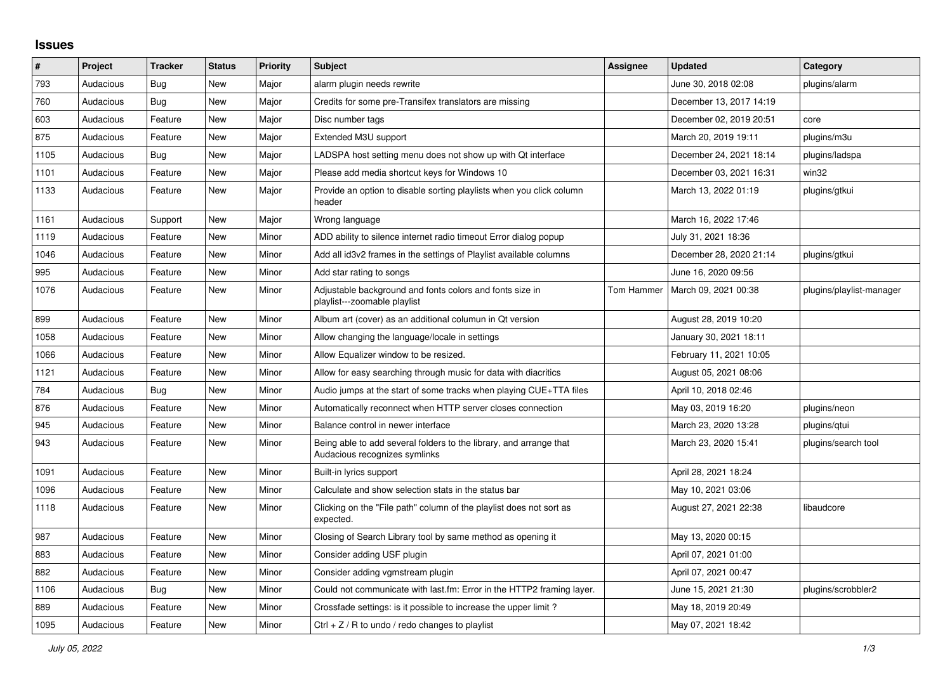## **Issues**

| $\vert$ # | Project   | <b>Tracker</b> | <b>Status</b> | <b>Priority</b> | <b>Subject</b>                                                                                      | Assignee   | <b>Updated</b>          | Category                 |
|-----------|-----------|----------------|---------------|-----------------|-----------------------------------------------------------------------------------------------------|------------|-------------------------|--------------------------|
| 793       | Audacious | Bug            | <b>New</b>    | Major           | alarm plugin needs rewrite                                                                          |            | June 30, 2018 02:08     | plugins/alarm            |
| 760       | Audacious | <b>Bug</b>     | <b>New</b>    | Major           | Credits for some pre-Transifex translators are missing                                              |            | December 13, 2017 14:19 |                          |
| 603       | Audacious | Feature        | New           | Major           | Disc number tags                                                                                    |            | December 02, 2019 20:51 | core                     |
| 875       | Audacious | Feature        | <b>New</b>    | Major           | Extended M3U support                                                                                |            | March 20, 2019 19:11    | plugins/m3u              |
| 1105      | Audacious | <b>Bug</b>     | <b>New</b>    | Major           | LADSPA host setting menu does not show up with Qt interface                                         |            | December 24, 2021 18:14 | plugins/ladspa           |
| 1101      | Audacious | Feature        | <b>New</b>    | Major           | Please add media shortcut keys for Windows 10                                                       |            | December 03, 2021 16:31 | win32                    |
| 1133      | Audacious | Feature        | New           | Major           | Provide an option to disable sorting playlists when you click column<br>header                      |            | March 13, 2022 01:19    | plugins/gtkui            |
| 1161      | Audacious | Support        | <b>New</b>    | Major           | Wrong language                                                                                      |            | March 16, 2022 17:46    |                          |
| 1119      | Audacious | Feature        | New           | Minor           | ADD ability to silence internet radio timeout Error dialog popup                                    |            | July 31, 2021 18:36     |                          |
| 1046      | Audacious | Feature        | New           | Minor           | Add all id3v2 frames in the settings of Playlist available columns                                  |            | December 28, 2020 21:14 | plugins/gtkui            |
| 995       | Audacious | Feature        | New           | Minor           | Add star rating to songs                                                                            |            | June 16, 2020 09:56     |                          |
| 1076      | Audacious | Feature        | New           | Minor           | Adjustable background and fonts colors and fonts size in<br>playlist---zoomable playlist            | Tom Hammer | March 09, 2021 00:38    | plugins/playlist-manager |
| 899       | Audacious | Feature        | New           | Minor           | Album art (cover) as an additional columun in Qt version                                            |            | August 28, 2019 10:20   |                          |
| 1058      | Audacious | Feature        | <b>New</b>    | Minor           | Allow changing the language/locale in settings                                                      |            | January 30, 2021 18:11  |                          |
| 1066      | Audacious | Feature        | <b>New</b>    | Minor           | Allow Equalizer window to be resized.                                                               |            | February 11, 2021 10:05 |                          |
| 1121      | Audacious | Feature        | New           | Minor           | Allow for easy searching through music for data with diacritics                                     |            | August 05, 2021 08:06   |                          |
| 784       | Audacious | Bug            | New           | Minor           | Audio jumps at the start of some tracks when playing CUE+TTA files                                  |            | April 10, 2018 02:46    |                          |
| 876       | Audacious | Feature        | <b>New</b>    | Minor           | Automatically reconnect when HTTP server closes connection                                          |            | May 03, 2019 16:20      | plugins/neon             |
| 945       | Audacious | Feature        | <b>New</b>    | Minor           | Balance control in newer interface                                                                  |            | March 23, 2020 13:28    | plugins/qtui             |
| 943       | Audacious | Feature        | <b>New</b>    | Minor           | Being able to add several folders to the library, and arrange that<br>Audacious recognizes symlinks |            | March 23, 2020 15:41    | plugins/search tool      |
| 1091      | Audacious | Feature        | New           | Minor           | Built-in lyrics support                                                                             |            | April 28, 2021 18:24    |                          |
| 1096      | Audacious | Feature        | New           | Minor           | Calculate and show selection stats in the status bar                                                |            | May 10, 2021 03:06      |                          |
| 1118      | Audacious | Feature        | New           | Minor           | Clicking on the "File path" column of the playlist does not sort as<br>expected.                    |            | August 27, 2021 22:38   | libaudcore               |
| 987       | Audacious | Feature        | New           | Minor           | Closing of Search Library tool by same method as opening it                                         |            | May 13, 2020 00:15      |                          |
| 883       | Audacious | Feature        | <b>New</b>    | Minor           | Consider adding USF plugin                                                                          |            | April 07, 2021 01:00    |                          |
| 882       | Audacious | Feature        | New           | Minor           | Consider adding vgmstream plugin                                                                    |            | April 07, 2021 00:47    |                          |
| 1106      | Audacious | Bug            | <b>New</b>    | Minor           | Could not communicate with last.fm: Error in the HTTP2 framing layer.                               |            | June 15, 2021 21:30     | plugins/scrobbler2       |
| 889       | Audacious | Feature        | <b>New</b>    | Minor           | Crossfade settings: is it possible to increase the upper limit?                                     |            | May 18, 2019 20:49      |                          |
| 1095      | Audacious | Feature        | <b>New</b>    | Minor           | Ctrl $+$ Z / R to undo / redo changes to playlist                                                   |            | May 07, 2021 18:42      |                          |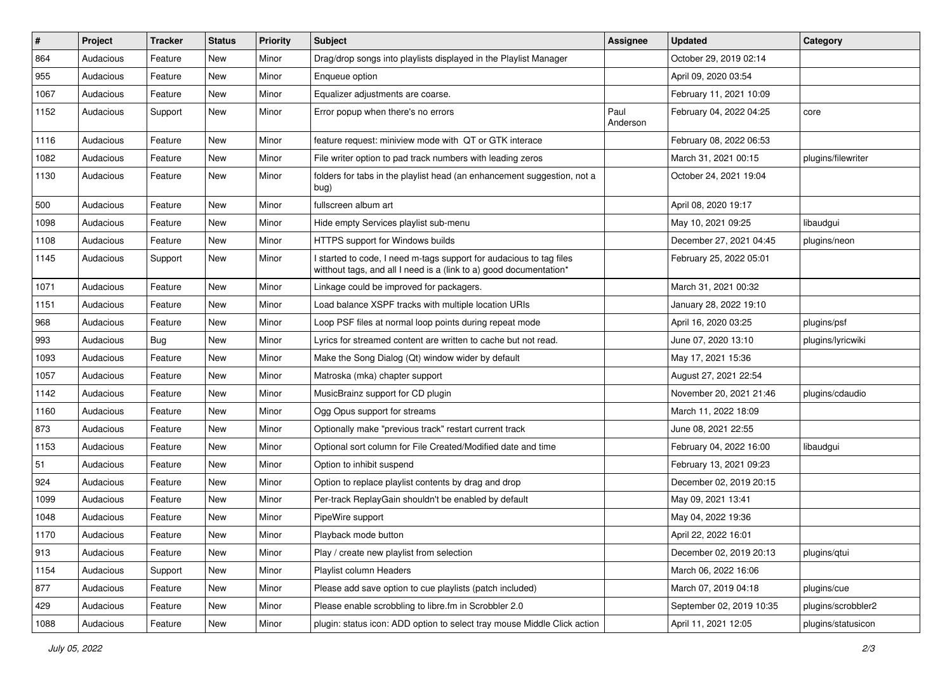| #    | Project   | <b>Tracker</b> | <b>Status</b> | <b>Priority</b> | Subject                                                                                                                                   | <b>Assignee</b>  | <b>Updated</b>           | Category           |
|------|-----------|----------------|---------------|-----------------|-------------------------------------------------------------------------------------------------------------------------------------------|------------------|--------------------------|--------------------|
| 864  | Audacious | Feature        | New           | Minor           | Drag/drop songs into playlists displayed in the Playlist Manager                                                                          |                  | October 29, 2019 02:14   |                    |
| 955  | Audacious | Feature        | New           | Minor           | Enqueue option                                                                                                                            |                  | April 09, 2020 03:54     |                    |
| 1067 | Audacious | Feature        | New           | Minor           | Equalizer adjustments are coarse.                                                                                                         |                  | February 11, 2021 10:09  |                    |
| 1152 | Audacious | Support        | New           | Minor           | Error popup when there's no errors                                                                                                        | Paul<br>Anderson | February 04, 2022 04:25  | core               |
| 1116 | Audacious | Feature        | New           | Minor           | feature request: miniview mode with QT or GTK interace                                                                                    |                  | February 08, 2022 06:53  |                    |
| 1082 | Audacious | Feature        | New           | Minor           | File writer option to pad track numbers with leading zeros                                                                                |                  | March 31, 2021 00:15     | plugins/filewriter |
| 1130 | Audacious | Feature        | New           | Minor           | folders for tabs in the playlist head (an enhancement suggestion, not a<br>bug)                                                           |                  | October 24, 2021 19:04   |                    |
| 500  | Audacious | Feature        | New           | Minor           | fullscreen album art                                                                                                                      |                  | April 08, 2020 19:17     |                    |
| 1098 | Audacious | Feature        | New           | Minor           | Hide empty Services playlist sub-menu                                                                                                     |                  | May 10, 2021 09:25       | libaudgui          |
| 1108 | Audacious | Feature        | New           | Minor           | HTTPS support for Windows builds                                                                                                          |                  | December 27, 2021 04:45  | plugins/neon       |
| 1145 | Audacious | Support        | New           | Minor           | I started to code, I need m-tags support for audacious to tag files<br>witthout tags, and all I need is a (link to a) good documentation* |                  | February 25, 2022 05:01  |                    |
| 1071 | Audacious | Feature        | New           | Minor           | Linkage could be improved for packagers.                                                                                                  |                  | March 31, 2021 00:32     |                    |
| 1151 | Audacious | Feature        | New           | Minor           | Load balance XSPF tracks with multiple location URIs                                                                                      |                  | January 28, 2022 19:10   |                    |
| 968  | Audacious | Feature        | New           | Minor           | Loop PSF files at normal loop points during repeat mode                                                                                   |                  | April 16, 2020 03:25     | plugins/psf        |
| 993  | Audacious | Bug            | New           | Minor           | Lyrics for streamed content are written to cache but not read.                                                                            |                  | June 07, 2020 13:10      | plugins/lyricwiki  |
| 1093 | Audacious | Feature        | New           | Minor           | Make the Song Dialog (Qt) window wider by default                                                                                         |                  | May 17, 2021 15:36       |                    |
| 1057 | Audacious | Feature        | New           | Minor           | Matroska (mka) chapter support                                                                                                            |                  | August 27, 2021 22:54    |                    |
| 1142 | Audacious | Feature        | New           | Minor           | MusicBrainz support for CD plugin                                                                                                         |                  | November 20, 2021 21:46  | plugins/cdaudio    |
| 1160 | Audacious | Feature        | New           | Minor           | Ogg Opus support for streams                                                                                                              |                  | March 11, 2022 18:09     |                    |
| 873  | Audacious | Feature        | New           | Minor           | Optionally make "previous track" restart current track                                                                                    |                  | June 08, 2021 22:55      |                    |
| 1153 | Audacious | Feature        | New           | Minor           | Optional sort column for File Created/Modified date and time                                                                              |                  | February 04, 2022 16:00  | libaudgui          |
| 51   | Audacious | Feature        | New           | Minor           | Option to inhibit suspend                                                                                                                 |                  | February 13, 2021 09:23  |                    |
| 924  | Audacious | Feature        | New           | Minor           | Option to replace playlist contents by drag and drop                                                                                      |                  | December 02, 2019 20:15  |                    |
| 1099 | Audacious | Feature        | New           | Minor           | Per-track ReplayGain shouldn't be enabled by default                                                                                      |                  | May 09, 2021 13:41       |                    |
| 1048 | Audacious | Feature        | New           | Minor           | PipeWire support                                                                                                                          |                  | May 04, 2022 19:36       |                    |
| 1170 | Audacious | Feature        | New           | Minor           | Playback mode button                                                                                                                      |                  | April 22, 2022 16:01     |                    |
| 913  | Audacious | Feature        | New           | Minor           | Play / create new playlist from selection                                                                                                 |                  | December 02, 2019 20:13  | plugins/gtui       |
| 1154 | Audacious | Support        | New           | Minor           | Playlist column Headers                                                                                                                   |                  | March 06, 2022 16:06     |                    |
| 877  | Audacious | Feature        | New           | Minor           | Please add save option to cue playlists (patch included)                                                                                  |                  | March 07, 2019 04:18     | plugins/cue        |
| 429  | Audacious | Feature        | New           | Minor           | Please enable scrobbling to libre.fm in Scrobbler 2.0                                                                                     |                  | September 02, 2019 10:35 | plugins/scrobbler2 |
| 1088 | Audacious | Feature        | New           | Minor           | plugin: status icon: ADD option to select tray mouse Middle Click action                                                                  |                  | April 11, 2021 12:05     | plugins/statusicon |